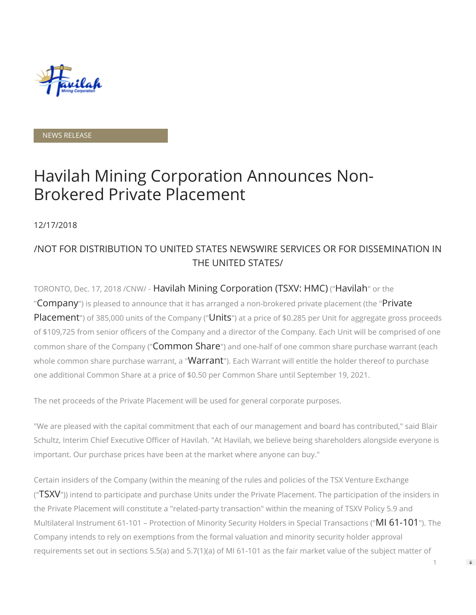

NEWS RELEASE

# Havilah Mining Corporation Announces Non-Brokered Private Placement

12/17/2018

## /NOT FOR DISTRIBUTION TO UNITED STATES NEWSWIRE SERVICES OR FOR DISSEMINATION IN THE UNITED STATES/

TORONTO, Dec. 17, 2018 /CNW/ - Havilah Mining Corporation (TSXV: HMC) ("Havilah" or the "Company") is pleased to announce that it has arranged a non-brokered private placement (the "Private Placement") of 385,000 units of the Company ("Units") at a price of \$0.285 per Unit for aggregate gross proceeds of \$109,725 from senior officers of the Company and a director of the Company. Each Unit will be comprised of one common share of the Company ("**Common Share**") and one-half of one common share purchase warrant (each whole common share purchase warrant, a "**Warrant**"). Each Warrant will entitle the holder thereof to purchase one additional Common Share at a price of \$0.50 per Common Share until September 19, 2021.

The net proceeds of the Private Placement will be used for general corporate purposes.

"We are pleased with the capital commitment that each of our management and board has contributed," said Blair Schultz, Interim Chief Executive Officer of Havilah. "At Havilah, we believe being shareholders alongside everyone is important. Our purchase prices have been at the market where anyone can buy."

Certain insiders of the Company (within the meaning of the rules and policies of the TSX Venture Exchange ("TSXV")) intend to participate and purchase Units under the Private Placement. The participation of the insiders in the Private Placement will constitute a "related-party transaction" within the meaning of TSXV Policy 5.9 and Multilateral Instrument 61-101 – Protection of Minority Security Holders in Special Transactions ("MI 61-101"). The Company intends to rely on exemptions from the formal valuation and minority security holder approval requirements set out in sections 5.5(a) and 5.7(1)(a) of MI 61-101 as the fair market value of the subject matter of

1

 $\Rightarrow$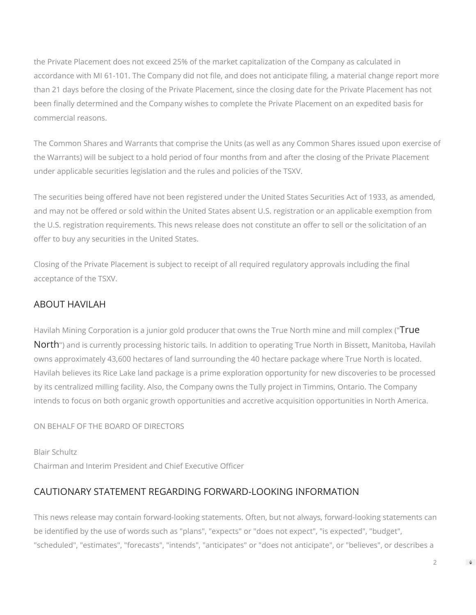the Private Placement does not exceed 25% of the market capitalization of the Company as calculated in accordance with MI 61-101. The Company did not file, and does not anticipate filing, a material change report more than 21 days before the closing of the Private Placement, since the closing date for the Private Placement has not been finally determined and the Company wishes to complete the Private Placement on an expedited basis for commercial reasons.

The Common Shares and Warrants that comprise the Units (as well as any Common Shares issued upon exercise of the Warrants) will be subject to a hold period of four months from and after the closing of the Private Placement under applicable securities legislation and the rules and policies of the TSXV.

The securities being offered have not been registered under the United States Securities Act of 1933, as amended, and may not be offered or sold within the United States absent U.S. registration or an applicable exemption from the U.S. registration requirements. This news release does not constitute an offer to sell or the solicitation of an offer to buy any securities in the United States.

Closing of the Private Placement is subject to receipt of all required regulatory approvals including the final acceptance of the TSXV.

### ABOUT HAVILAH

Havilah Mining Corporation is a junior gold producer that owns the True North mine and mill complex ("True North") and is currently processing historic tails. In addition to operating True North in Bissett, Manitoba, Havilah owns approximately 43,600 hectares of land surrounding the 40 hectare package where True North is located. Havilah believes its Rice Lake land package is a prime exploration opportunity for new discoveries to be processed by its centralized milling facility. Also, the Company owns the Tully project in Timmins, Ontario. The Company intends to focus on both organic growth opportunities and accretive acquisition opportunities in North America.

#### ON BEHALF OF THE BOARD OF DIRECTORS

Blair Schultz Chairman and Interim President and Chief Executive Officer

#### CAUTIONARY STATEMENT REGARDING FORWARD-LOOKING INFORMATION

This news release may contain forward-looking statements. Often, but not always, forward-looking statements can be identified by the use of words such as "plans", "expects" or "does not expect", "is expected", "budget", "scheduled", "estimates", "forecasts", "intends", "anticipates" or "does not anticipate", or "believes", or describes a

 $\Rightarrow$ 

 $\mathfrak{D}$